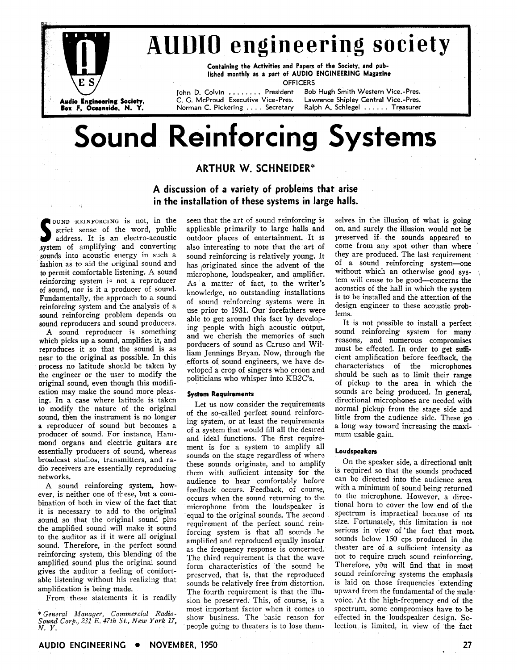

## **AUDIO engineering society**

Containing the Activities and Papers of the Society, and pub-<br>lished monthly as a part of AUDIO ENGINEERING Magazine **OFFICERS** 

John D. Colvin ....... President C. G. McProud Executive Vice-Pres. Norman C. Pickering . . . . Secretary

Bob Hugh Smith Western Vice.-Pres. Lawrence Shipley Central Vice.-Pres. Ralph A. Schlegel . . . . . . Treasurer

# **Sound Reinforcing Systems**

### **ARTHUR W. SCHNEIDER\***

**A discussion of a variety of problems that arise in the installation of these systems in large halls.** 

**SOUND REINFORCING** is not, in the strict sense of the word, public address. It is an electro-acoustic strict sense of the word, public address. It is an electro-acoustic system of amplifying and converting sounds into acoustic energy in such a fashion as to aid the original sound and to permit comfortable listening. A sound reinforcing system is not a reproducer of sound, nor is it a producer of sound. Fundamentally, the approach to a sound reinforcing system and the analysis of a sound reinforcing problem depends on sound reproducers and sound producers.

**A** sound reproducer is something which picks up a sound, amplifies it, and reproduces it so that the sound is as near to the original as possible. In this process no latitude should be taken by the engineer or the user to modify the original sound, even though this modification may make the sound more pleasing. In a case where latitude is taken to modify the nature of the original sound, then the instrument is no longer a reproducer of sound but becomes a producer of sound. For instance, Hammond organs and electric guitars are essentially producers of sound, whereas broadcast studios, transmitters, and radio receivers are essentially reproducing networks.

**A** sound reinforcing system, however, is neither one of these, but a combination of both in view of the fact that it is necessary to add to the original sound so that the original sound plus the amplified sound will make it sound to the auditor as if it were all original sound. Therefore, in the perfect sound reinforcing system, this blending of the amplified sound plus the original sound gives the auditor a feeling of comfortable listening without his realizing that amplification is being made.

From these statements it is readily

seen that the art of sound reinforcing is applicable primarily to large halls and outdoor places of entertainment. It is also interesting to note that the art of sound reinforcing is relatively young. It has originated since the advent of the microphone, loudspeaker, and amplifier. As a matter of fact, to the writer's knowledge, no outstanding installations of sound reinforcing systems were in use prior to 1931. Our forefathers were able to get around this fact by developing people with high acoustic output, and we cherish the memories of such porducers of sound as Caruso and William Jennings Bryan. Now, through the efforts of sound engineers, we have dcveloped a crop of singers who croon and politicians who whisper into KB2C's.

#### **System Requirements**

Let us now consider the requirements of the so-called perfect sound reinforcing system, or at least the requirements of a system that would fill all the desired and ideal functions. The first requirement is for a system to amplify all sounds on the stage regardless of whcrc: these sounds originate, and to amplify them with sufficient intensity for the audience to hear comfortably before feedback occurs. Feedback, of course, occurs when the sound returning to the microphone from the loudspeaker is equal to the original sounds. The second requirement of the perfect sound reinforcing system is that all sounds he amplified and reproduced equally insofar as the frequency response is concerned. The third requirement is that the wave form characteristics of the sound he preserved, that is, that the reproduced sounds be relatively free from distortion. The fourth requirement is that the illusion be preserved. This, of course, is a most important factor when it comes to spectrum. some compromises have to be \* *General Manager, Commercial Radio-231 show business.* The basic reason for effected in the loudspeaker design. Se-<br>people going to theaters is to lose them-<br>lection is limited, in view of the fact

selves in the illusion of what is going on, and surely the illusion would not be preserved if the sounds appeared to come from any spot other than where they are produced. The last requirement of a sound reinforcing system--one<br>without which an otherwise good system will cease to be good-concerns the acoustics of the hall in which the system is to be installed and the attention of the design engineer to these acoustic problems.

It is not possible to install a perfect sound reinforcing system for many reasons, and numerous compromises must be effected. In order to get sufficient amplification before feedback, the characteristics of the microphoncs should be such as to limit their range of pickup to the area in which the sounds are being produced. In general, directional microphones are needed with normal pickup from the stage side and little from the audience side. These go a long way toward increasing the maximum usable gain.

#### **Loudspeakers**

On the speaker side, a directional unit is required so that the sounds produced can be directed into the audience area with a minimum of sound being returned to the microphone. However, a dircctional horn to cover the low end of the spectrum is impractical because of its size. Fortunately, this limitation is not serious in view of 'the fact that most. sounds below **150** cps produced in the theater are of a sufficient intensity as not to require much sound reinforcing. Therefore, you will find that in most sound reinforcing systems the emphasis is laid on those frequencies extending upward from the fundamental of the male voice. At the high-frequency end of the spectrum, some compromises have to be

*N. Y.* people going to theaters is to lose them- lection is limited, in view of the fact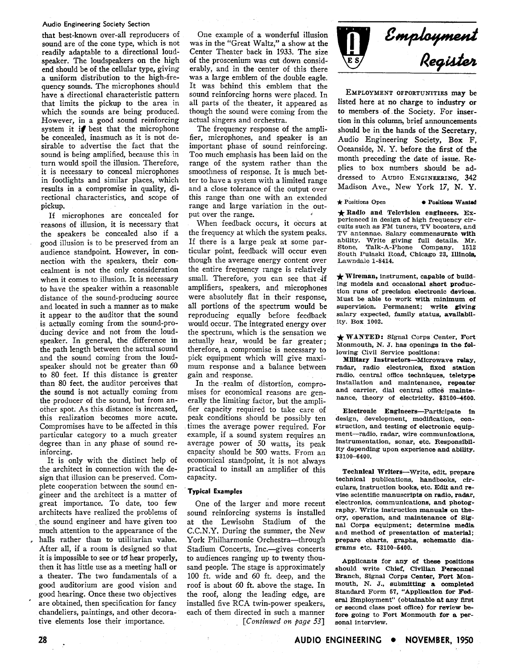#### **Audio Engineering Society Section**

that best-known over-all reproducers of sound are of the cone type, which is not readily adaptable to a directional loudspeaker. The loudspeakers on the high end should be of the cellular type, giving a uniform distribution to the high-frequency sounds. The microphones should have a directional characteristic pattern that limits the pickup to the area in which the sounds are being produced. However, in a good sound reinforcing system it if best that the microphone be concealed, inasmuch as it is not desirable to advertise the fact that the sound is being amplified, because this in turn would spoil the illusion. Therefore, it is necessary to conceal microphones in footlights and similar places, which results in a compromise in quality, directional characteristics, and scope of pickup.

If microphones are concealed for reasons of illusion, it is necessary that the speakers be concealed also if a good illusion is to be preserved from an audience standpoint. However, in connection with the speakers, their concealment is not the only consideration when it comes to illusion. It is necessary to have the speaker within a reasonable distance of the sound-producing source and located in such a manner as to make it appear to the auditor that the sound is actually coming from the sound-producing device and not from the loudspeaker. In general, the difference in the path length between the actual sound and the sound coming from the loudspeaker should not be greater than 60 to 80 feet. If this distance is greater than 80 feet, the auditor perceives that the sound is not actually coming from the producer of the sound, but from another spot. As this distance is increased, this realization becomes more acute. Compromises have to be affected in this particular category to a much greater degree than in any phase of sound reinforcing.

It is only with the distinct help of the architect in connection with the design that illusion can be preserved. Complete cooperation between the sound engineer and the architect is a matter of great importance. To date, too few architects have realized the problems of the sound engineer and have given too much attention to the appearance of the halls rather than to utilitarian value. After all, if a room is designed so that it is impossible to see or td hear properly, then it has little use as a meeting hall or a theater. The two fundamentals of a good auditorium are good vision and good hearing. Once these two objectives ' are obtained, then specification for fancy chandeliers, paintings, and other decorative elements lose their importance.

28

One example of a wonderful illusion was in the "Great Waltz," a show at the Center Theater back in 1933. The size of the proscenium was cut down considerably, and in the center of this there was a large emblem of the double eagle. It was behind this emblem that the sound reinforcing horns were placed. In all parts of the theater, it appeared as though the sound were coming from the actual singers and orchestra.

The frequency response of the amplifier, microphones, and speaker is an important phase of sound reinforcing. Too much emphasis has been laid on the range of the system rather than the smoothness of response. It is much better to have a system with a limited range and a close tolerance of the output over this range than one with an extended range and large variation in the output over the range. <

When feedback occurs, it occurs at the frequency at which the system peaks. If there is a large peak at some particular point, feedback will occur even though the average energy content over the entire frequency range is relatively small. Therefore, you can see that if amplifiers, speakers, and microphones were absolutely flat in their response, all portions of the spectrum would be reproducing equally before feedback would occur. The integrated energy over the spectruni, which is the sensation we actually hear, would be far greater; therefore, a compromise is necessary to pick equipment which will give maximum response and a balance between gain and response.

In the -realm of distortion, compromises for economical reasons are generally the limiting factor, but the amplifier capacity required to take care of peak conditions should be possibly ten times the average power required. For example, if a sound system requires an average power of 50 watts, its peak capacity should be 500 watts. From an economical standpoint, it is not always practical to install an amplifier of this capacity.

#### ' **Typical Examples**

One of the larger and more recent sound reinforcing systems is installed at the Lewisohn Stadium of the C.C.N.Y. During the summer, the New York Philharmonic Orchestra-through Stadium Concerts, Inc.- gives concerts to audiences ranging up to twenty thousand people. The stage is approximately 100 ft. wide and 60 ft. deep, and the roof is about 60 ft. above the stage. In the roof, along the leading edge, are installed five RCA twin-power speakers, each of them directed in such a manner [Continued on *page* **531** 

Employment<br>Register

EMPLOYMENT OFPORTUNITIES may be listed here at no charge to industry or to members of ,the Society. For insertion in this column, brief announcements should be in the hands of the Secretary, Audio Engineering Society, Box F, Oceanside, N. Y. before the first of the month preceding the date of issue. Replies to box numbers should be addressed to AUDIO ENGINEERING, **342**  Madison Ave., New York 17, N. Y.

**★ Positions Open ● Positions Wanted ★ Radio and Television engineers. Experienced in design of high frequency circuits such as FM tuners, TV boosters, and TV antennae. Salary commensurate mith ability. Write giving full details. Mr.**  Talk-A-Phone Company, South Pulaski Road, Chicago 23, Illinois, Lawndale 1-8414.

**Lawndale 1-8414.** \* **Wireman, instrument, capable of building models and occasional short produc**tion runs of precision electronic devices. **Must be able to work mith minimum of supervision. Permanent; write giving salary expected, family status, availability. Box 1002.** 

**WANTED: Signal Corps Center, Fort Monmouth, N. J. has openings in the following Civil Service positions:** 

**Mllltnry Instructors-Microwave relay, radar, radio electronics, fixed station**  radio, central office techniques, teletype **installation and maintenance, repeater**  and carrier, dial central office mainte**nance, theory of electricity. \$3100-4600.** 

**Electronic Engineers-Partfcipate in design, development, modification, construction, and testing of electronic equipment-radio, radar, wire communications, instrumentation, sonar, etc. Responsibility depending upon experience and ability. \$3100-6400.** 

**Technical Writers-Write, edit, prepare technical publications, handbooks, circulars, instruction books, etc. Edit and revise scientific manuscripts on radio, radar, electronics, communications, and photography. Write instruction manuals on theory, operation, and maintenance of Signal Corps equipment; determine media and method of presentation of material; prepare charts, graphs, schematic diagrams etc. \$3100-6400.** 

**Applicants for any of these positions should write Chief, Civilian Personnel Branch, Signal Corps Center, Fort Mon**mouth, N. J., submitting a completed **Standard Form 57, "Application for Federal Employment" (obtainable at any flrst or second class post office) for review before going to Fort Monmouth for a personal interview.**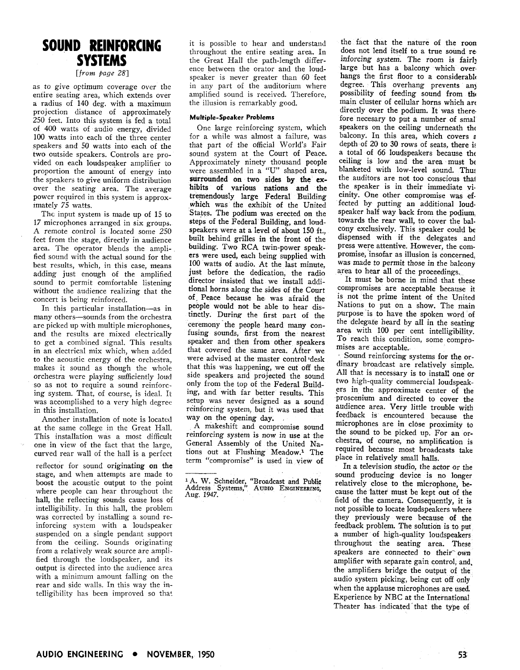## SOUND REINFORCING **SYSTEMS**

*[from page* 281

as to give optimum coverage over the entire seating area, which extends over a radius of 140 deg. with a maximum projection distance of approximately 250 feet. Into this system is fed a total of 400 watts of audio energy, divided 100 watts into each of the three center speakers and 50 watts into each of the two outside speakers. Controls are provided on each loudspeaker amplifier to proportion the amount of energy into the speakers to give uniform distribution over the seating area. The average power required in this system is approxlmately 75 watts.

The input system is made up of 15 to 17 microphones arranged in six groups. A remote control is located some 250 feet from the stage, directly in audience area. The operator blends the amplified sound with the actual sound for the best results, which, in this case, means adding just enough of the amplified sound to permit comfortable listening without the audience realizing that the concert is being reinforced.

In this particular installation-as in many others-sounds from the orchestra are picked up with multiple microphones, and the results are mixed electrically to get a combined signal. This results in an electrical mix which, when added to the acoustic energy of the orchestra, makes it sound as though the whole orchestra were piaying sufficiently loud so as not to require a sound reinforcing system. That, of course, is ideal. It was accomplished to a very high degree in this installation.

Another installation of note is located at the same college in the Great Hall. This installation was a most difficult one in view of the fact that the large, curved rear wall of the hall is a perfect

reflector for sound originating on the stage, and when attempts are made to boost the acoustic output to the point where people can hear throughout thc hall, the reflecting sounds cause loss of intelligibility. In this hall, the problem was corrected by installing a sound reinforcing system with a loudspeaker suspended on a single pendant support from the ceiling. Sounds originating from a relativdy weak source are amplified through the loudspeaker, and its output is directed into the audience arca with a minimum amount falling on the rear and side walls. In this way the intelligibility has been improved so that

it is possible to hear and understand throughout the entire seating area. In the Great Hall the path-length difference between the orator and the loudspeaker is never greater than 60 feet in any part of the auditorium where amplified sound is received. Therefore, the illusion is remarkably good.

### **Multiple-Speaker Problems**

One large reinforcing system, which<br>for a while was almost a failure, was that part of the official World's Fair sound system at the Court of Peace. Approximately ninety thousand people were assembled in a "U" shaped area, surrounded on two sides by **the ex**hibits of various nations and the tremendously large Federal Building which was the exhibit of the United States. The podium was erected on the steps of the Federal Building, and loudspeakers were at a level of about 150 ft., built behind grilles in the front of the building. Two RCA twin-power speakers were used, each being supplied with 100 watts of audio. At the last minute, just before the dedication, the radio director insisted that we install additional horns along the sides of the Court of, Peace because he was afraid the people would not be able to hear distinctly. During the first part of the ceremony the people heard many confusing sounds, first from the nearest speaker and then from other speakers that covered the same area. After we were advised at the master control desk that this was happening, we cut off the side speakers and projected the sound only from the top of the Federal Building, and with far better results. This setup was never designed as a sound reinforcing system, but it was used that way on the opening day.

A makeshift and compromise sound reinforcing system is now in use at the General Assembly of the United Nations out at Flushing Meadow.<sup>1</sup> The term "compromise" is used in view of

the fact that the nature of the roon does not lend itself to a true sound re inforcing system. The room is fairly large but has a balcony which over hangs the first floor to a considerable degree. This overhang prevents any possibility of feeding sound from the main cluster of cellular horns which arc directly over the podium. It was there. fore necesary to put a number of smal speakers on the ceiling underneath the balcony. In this area, which covers a depth of 20 to **30** rows of seats, there **is**  a total of 66 loudspeakers because the ceiling is low and the area must be blanketed with low-level sound. Thu: the auditors are not too conscious that the speaker is in their immediate vicinity. One other compromise was **ef**fected by putting an additional loudspeaker half way back from the podium, towards the rear wall, to cover the balcony exclusively. This speaker could be dispensed with if the delegates and press were attentive. However, the compromise, insofar as illusion is concerned, was made to permit those in the balcony area to hear all of the proceedings.

It must be borne in mind that these compromises are acceptable because it is not the prime intent of the United Nations to put on a show. The main purpose 'is to have the spoken word of the delegate heard by all in the seating area with 100 per cent intelligibility. To reach this condition, some compromises are acceptable.

Sound reinforcing systems for the ordinary broadcast are relatively simple. All that is necessary is to instal! one or two high-quality commercial loudspeakers in the approximate center of the proscenium and directed to cover the audience area. Very little trouble with feedback is encountered because the microphones are in clbse proximity to the sound to be picked up. For an orchestra, of course, no amplification is required because most broadcasts take place in relatively small halls.

In a television studio, the actor or the<br>sound producing device is no longer <sup>1</sup> A. W. Schneider, "Broadcast and Public relatively close to the microphone, be-<br>Address Systems," AUDIO ENGINEERING, cause the fatter must be kept out of the<br>field of the camera. Consequently, it is not possible to locate loudspeakers where they previously were because of the feedback problem. The solution is to put a number of high-quality loudspeakers throughout the seating area. These speakers are connected to their own amplifier with separate gain control, and, the amplifiers bridge the output of the audio system picking, being cut off only when the applause microphones are used. Experience by NBC at the International Theater has indicated that the type of